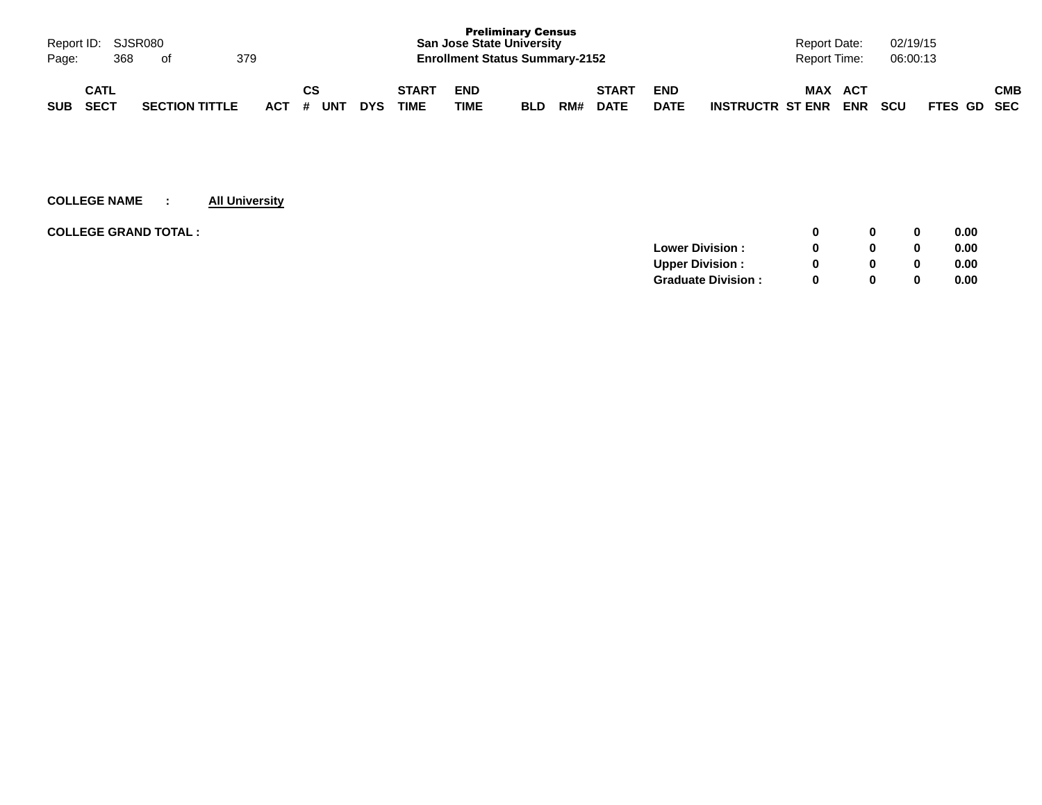| Page:      | 368                        | Report ID: SJSR080<br>of |                       | 379 |           |    |            |                             | <b>San Jose State University</b><br><b>Enrollment Status Summary-2152</b> | <b>Preliminary Census</b> |     |                             |                           |                         | Report Date:<br>Report Time: |                   | 02/19/15<br>06:00:13 |             |            |
|------------|----------------------------|--------------------------|-----------------------|-----|-----------|----|------------|-----------------------------|---------------------------------------------------------------------------|---------------------------|-----|-----------------------------|---------------------------|-------------------------|------------------------------|-------------------|----------------------|-------------|------------|
| <b>SUB</b> | <b>CATL</b><br><b>SECT</b> |                          | <b>SECTION TITTLE</b> |     | ACT # UNT | CS | <b>DYS</b> | <b>START</b><br><b>TIME</b> | <b>END</b><br>TIME                                                        | <b>BLD</b>                | RM# | <b>START</b><br><b>DATE</b> | <b>END</b><br><b>DATE</b> | <b>INSTRUCTR ST ENR</b> | <b>MAX</b>                   | ACT<br><b>ENR</b> | <b>SCU</b>           | FTES GD SEC | <b>CMB</b> |

| <b>COLLEGE GRAND TOTAL :</b> |                           |   | 0 | 0.00 |
|------------------------------|---------------------------|---|---|------|
|                              | <b>Lower Division:</b>    |   | 0 | 0.00 |
|                              | <b>Upper Division:</b>    |   | 0 | 0.00 |
|                              | <b>Graduate Division:</b> | n | 0 | 0.00 |
|                              |                           |   |   |      |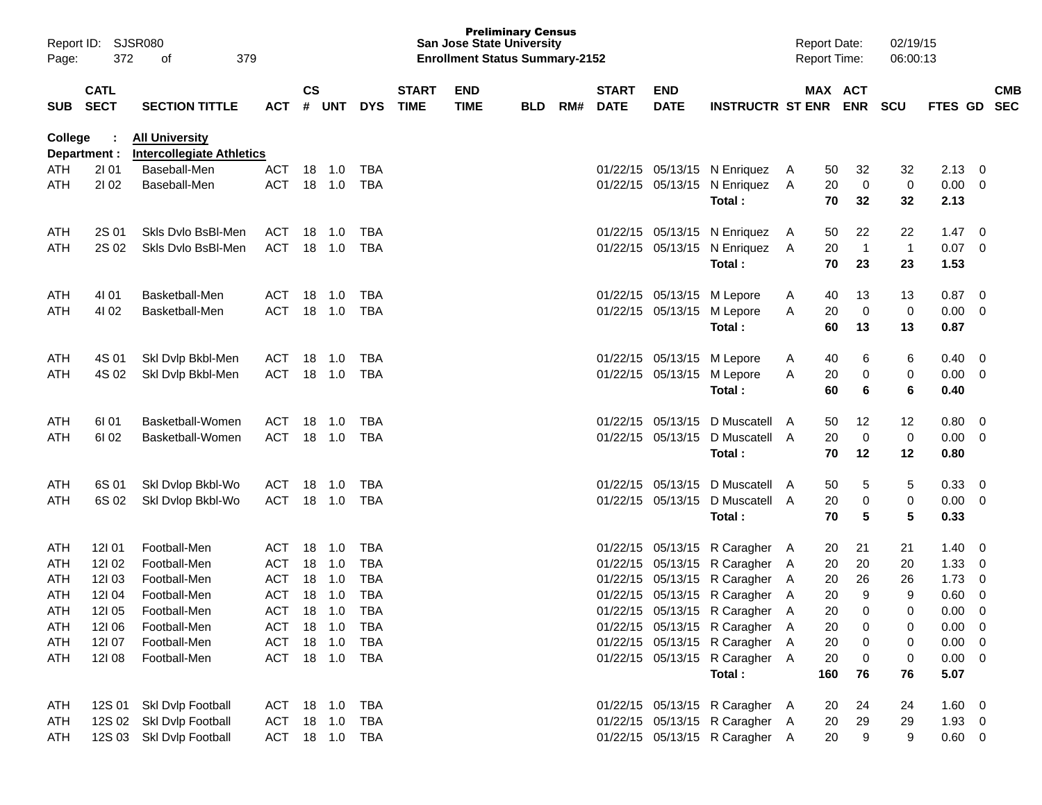| Report ID:<br>Page:      | 372          | SJSR080<br>379<br>οf             |                          |               |            |            |              |             | <b>Preliminary Census</b><br><b>San Jose State University</b><br><b>Enrollment Status Summary-2152</b> |     |              |                      |                                | <b>Report Date:</b><br><b>Report Time:</b> |          |                | 02/19/15<br>06:00:13 |              |                          |            |
|--------------------------|--------------|----------------------------------|--------------------------|---------------|------------|------------|--------------|-------------|--------------------------------------------------------------------------------------------------------|-----|--------------|----------------------|--------------------------------|--------------------------------------------|----------|----------------|----------------------|--------------|--------------------------|------------|
|                          | <b>CATL</b>  |                                  |                          | $\mathsf{cs}$ |            |            | <b>START</b> | <b>END</b>  |                                                                                                        |     | <b>START</b> | <b>END</b>           |                                |                                            |          | MAX ACT        |                      |              |                          | <b>CMB</b> |
| <b>SUB</b>               | <b>SECT</b>  | <b>SECTION TITTLE</b>            | <b>ACT</b>               | #             | <b>UNT</b> | <b>DYS</b> | <b>TIME</b>  | <b>TIME</b> | <b>BLD</b>                                                                                             | RM# | <b>DATE</b>  | <b>DATE</b>          | <b>INSTRUCTR ST ENR</b>        |                                            |          | <b>ENR</b>     | <b>SCU</b>           | FTES GD      |                          | <b>SEC</b> |
| <b>College</b>           |              | <b>All University</b>            |                          |               |            |            |              |             |                                                                                                        |     |              |                      |                                |                                            |          |                |                      |              |                          |            |
|                          | Department : | <b>Intercollegiate Athletics</b> |                          |               |            |            |              |             |                                                                                                        |     |              |                      |                                |                                            |          |                |                      |              |                          |            |
| <b>ATH</b><br><b>ATH</b> | 2101<br>2102 | Baseball-Men<br>Baseball-Men     | <b>ACT</b><br><b>ACT</b> | 18<br>18      | 1.0        | TBA<br>TBA |              |             |                                                                                                        |     | 01/22/15     | 05/13/15<br>05/13/15 | N Enriquez                     | A                                          | 50<br>20 | 32             | 32<br>0              | 2.13<br>0.00 | 0                        |            |
|                          |              |                                  |                          |               | 1.0        |            |              |             |                                                                                                        |     | 01/22/15     |                      | N Enriquez<br>Total:           | A                                          | 70       | 0<br>32        | 32                   | 2.13         | 0                        |            |
| ATH                      | 2S 01        | Skls Dvlo BsBI-Men               | <b>ACT</b>               | 18            | 1.0        | TBA        |              |             |                                                                                                        |     | 01/22/15     | 05/13/15             | N Enriquez                     | A                                          | 50       | 22             | 22                   | 1.47         | 0                        |            |
| <b>ATH</b>               | 2S 02        | Skls Dvlo BsBI-Men               | <b>ACT</b>               | 18            | 1.0        | TBA        |              |             |                                                                                                        |     | 01/22/15     | 05/13/15             | N Enriquez                     | A                                          | 20       | $\overline{1}$ | $\mathbf{1}$         | 0.07         | 0                        |            |
|                          |              |                                  |                          |               |            |            |              |             |                                                                                                        |     |              |                      | Total:                         |                                            | 70       | 23             | 23                   | 1.53         |                          |            |
| ATH                      | 4101         | Basketball-Men                   | ACT                      | 18            | 1.0        | TBA        |              |             |                                                                                                        |     | 01/22/15     | 05/13/15             | M Lepore                       | A                                          | 40       | 13             | 13                   | 0.87         | 0                        |            |
| <b>ATH</b>               | 4102         | Basketball-Men                   | <b>ACT</b>               | 18            | 1.0        | TBA        |              |             |                                                                                                        |     |              | 01/22/15 05/13/15    | M Lepore                       | A                                          | 20       | 0              | 0                    | 0.00         | 0                        |            |
|                          |              |                                  |                          |               |            |            |              |             |                                                                                                        |     |              |                      | Total:                         |                                            | 60       | 13             | 13                   | 0.87         |                          |            |
| ATH                      | 4S 01        | Ski Dvip Bkbl-Men                | ACT                      | 18            | 1.0        | TBA        |              |             |                                                                                                        |     | 01/22/15     | 05/13/15             | M Lepore                       | A                                          | 40       | 6              | 6                    | 0.40         | 0                        |            |
| <b>ATH</b>               | 4S 02        | Skl Dvlp Bkbl-Men                | <b>ACT</b>               | 18            | 1.0        | TBA        |              |             |                                                                                                        |     | 01/22/15     | 05/13/15             | M Lepore                       | A                                          | 20       | 0              | 0                    | 0.00         | 0                        |            |
|                          |              |                                  |                          |               |            |            |              |             |                                                                                                        |     |              |                      | Total:                         |                                            | 60       | 6              | 6                    | 0.40         |                          |            |
| ATH                      | 61 01        | Basketball-Women                 | <b>ACT</b>               | 18            | 1.0        | TBA        |              |             |                                                                                                        |     | 01/22/15     | 05/13/15             | D Muscatell                    | A                                          | 50       | 12             | 12                   | 0.80         | 0                        |            |
| <b>ATH</b>               | 61 02        | Basketball-Women                 | <b>ACT</b>               | 18            | 1.0        | TBA        |              |             |                                                                                                        |     | 01/22/15     | 05/13/15             | D Muscatell                    | A                                          | 20       | 0              | 0                    | 0.00         | 0                        |            |
|                          |              |                                  |                          |               |            |            |              |             |                                                                                                        |     |              |                      | Total:                         |                                            | 70       | 12             | 12                   | 0.80         |                          |            |
| ATH                      | 6S 01        | Skl Dvlop Bkbl-Wo                | <b>ACT</b>               | 18            | 1.0        | TBA        |              |             |                                                                                                        |     | 01/22/15     | 05/13/15             | D Muscatell                    | A                                          | 50       | 5              | 5                    | 0.33         | 0                        |            |
| <b>ATH</b>               | 6S 02        | Ski Dvlop Bkbl-Wo                | <b>ACT</b>               | 18            | 1.0        | TBA        |              |             |                                                                                                        |     |              | 01/22/15 05/13/15    | D Muscatell                    | A                                          | 20       | 0              | 0                    | 0.00         | 0                        |            |
|                          |              |                                  |                          |               |            |            |              |             |                                                                                                        |     |              |                      | Total:                         |                                            | 70       | 5              | 5                    | 0.33         |                          |            |
| ATH                      | 12101        | Football-Men                     | <b>ACT</b>               | 18            | 1.0        | <b>TBA</b> |              |             |                                                                                                        |     | 01/22/15     | 05/13/15             | R Caragher A                   |                                            | 20       | 21             | 21                   | 1.40         | 0                        |            |
| ATH                      | 12102        | Football-Men                     | ACT                      | 18            | 1.0        | <b>TBA</b> |              |             |                                                                                                        |     | 01/22/15     | 05/13/15             | R Caragher                     | A                                          | 20       | 20             | 20                   | 1.33         | 0                        |            |
| ATH                      | 12103        | Football-Men                     | ACT                      | 18            | 1.0        | <b>TBA</b> |              |             |                                                                                                        |     | 01/22/15     | 05/13/15             | R Caragher                     | A                                          | 20       | 26             | 26                   | 1.73         | 0                        |            |
| ATH                      | 12104        | Football-Men                     | <b>ACT</b>               | 18            | 1.0        | <b>TBA</b> |              |             |                                                                                                        |     |              |                      | 01/22/15 05/13/15 R Caragher   | A                                          | 20       | 9              | 9                    | 0.60         | 0                        |            |
| ATH                      | 121 05       | Football-Men                     | ACT                      |               |            | <b>TBA</b> |              |             |                                                                                                        |     |              |                      | 01/22/15 05/13/15 R Caragher A |                                            | 20       | 0              | 0                    | 0.00         | $\mathsf 0$              |            |
| ATH                      | 121 06       | Football-Men                     | ACT 18 1.0               |               |            | TBA        |              |             |                                                                                                        |     |              |                      | 01/22/15 05/13/15 R Caragher A |                                            | 20       | 0              | 0                    | 0.00         | $\overline{\mathbf{0}}$  |            |
| ATH                      | 12107        | Football-Men                     | ACT 18 1.0               |               |            | TBA        |              |             |                                                                                                        |     |              |                      | 01/22/15 05/13/15 R Caragher A |                                            | 20       | 0              | 0                    | 0.00         | $\overline{\phantom{0}}$ |            |
| ATH                      | 12108        | Football-Men                     | ACT 18 1.0               |               |            | TBA        |              |             |                                                                                                        |     |              |                      | 01/22/15 05/13/15 R Caragher A |                                            | 20       | 0              | 0                    | 0.00         | $\overline{\phantom{0}}$ |            |
|                          |              |                                  |                          |               |            |            |              |             |                                                                                                        |     |              |                      | Total:                         |                                            | 160      | 76             | 76                   | 5.07         |                          |            |
| ATH                      | 12S 01       | Skl Dvlp Football                | ACT 18 1.0               |               |            | TBA        |              |             |                                                                                                        |     |              |                      | 01/22/15 05/13/15 R Caragher A |                                            | 20       | 24             | 24                   | 1.60         | $\overline{\phantom{0}}$ |            |
| ATH                      | 12S 02       | Skl Dvlp Football                | ACT 18 1.0               |               |            | TBA        |              |             |                                                                                                        |     |              |                      | 01/22/15 05/13/15 R Caragher A |                                            | 20       | 29             | 29                   | $1.93 \t 0$  |                          |            |
| ATH                      |              | 12S 03 Skl Dvlp Football         | ACT 18 1.0               |               |            | TBA        |              |             |                                                                                                        |     |              |                      | 01/22/15 05/13/15 R Caragher A |                                            | 20       | 9              | 9                    | $0.60 \t 0$  |                          |            |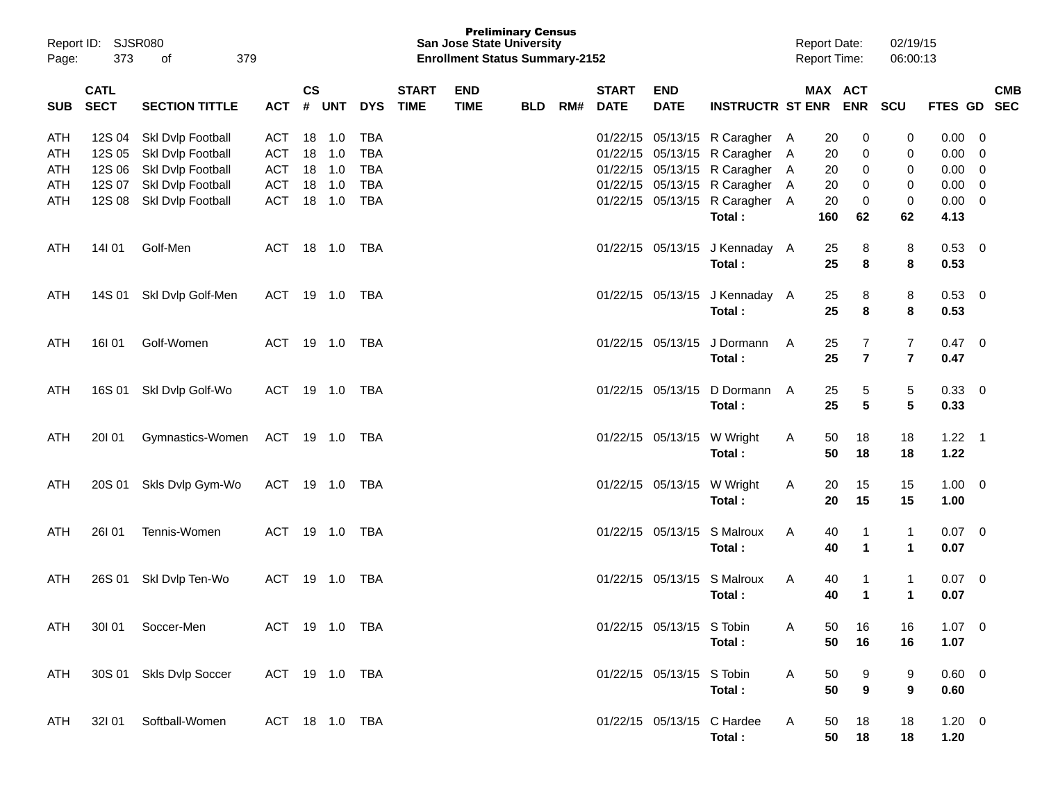| Page:      | Report ID: SJSR080<br>373  | of<br>379                              |                          |                    |                  |                          |                             | <b>San Jose State University</b><br><b>Enrollment Status Summary-2152</b> | <b>Preliminary Census</b> |     |                             |                                        |                                      |   | <b>Report Date:</b><br><b>Report Time:</b> |                              | 02/19/15<br>06:00:13         |                        |                         |
|------------|----------------------------|----------------------------------------|--------------------------|--------------------|------------------|--------------------------|-----------------------------|---------------------------------------------------------------------------|---------------------------|-----|-----------------------------|----------------------------------------|--------------------------------------|---|--------------------------------------------|------------------------------|------------------------------|------------------------|-------------------------|
| <b>SUB</b> | <b>CATL</b><br><b>SECT</b> | <b>SECTION TITTLE</b>                  | <b>ACT</b>               | $\mathsf{cs}$<br># | <b>UNT</b>       | <b>DYS</b>               | <b>START</b><br><b>TIME</b> | <b>END</b><br><b>TIME</b>                                                 | <b>BLD</b>                | RM# | <b>START</b><br><b>DATE</b> | <b>END</b><br><b>DATE</b>              | <b>INSTRUCTR ST ENR ENR</b>          |   | MAX ACT                                    |                              | SCU                          | FTES GD SEC            | <b>CMB</b>              |
| ATH<br>ATH | 12S 04<br>12S 05           | Skl Dvlp Football<br>Skl Dvlp Football | <b>ACT</b><br>ACT        |                    | 18 1.0<br>18 1.0 | <b>TBA</b><br><b>TBA</b> |                             |                                                                           |                           |     |                             | 01/22/15 05/13/15<br>01/22/15 05/13/15 | R Caragher A<br>R Caragher A         |   | 20<br>20                                   | 0<br>0                       | 0<br>0                       | 0.00<br>0.00           | 0<br>0                  |
| ATH<br>ATH | 12S 06<br>12S 07           | Skl Dvlp Football<br>Skl Dvlp Football | <b>ACT</b><br><b>ACT</b> |                    | 18 1.0<br>18 1.0 | <b>TBA</b><br><b>TBA</b> |                             |                                                                           |                           |     |                             | 01/22/15 05/13/15<br>01/22/15 05/13/15 | R Caragher A<br>R Caragher A         |   | 20<br>20                                   | 0<br>0                       | 0<br>0                       | 0.00<br>0.00           | 0<br>0                  |
| ATH        | 12S 08                     | Skl Dvlp Football                      | <b>ACT</b>               |                    | 18 1.0           | <b>TBA</b>               |                             |                                                                           |                           |     |                             | 01/22/15 05/13/15                      | R Caragher A<br>Total:               |   | 20<br>160                                  | 0<br>62                      | 0<br>62                      | 0.00<br>4.13           | $\overline{0}$          |
| ATH        | 14101                      | Golf-Men                               | ACT                      |                    |                  | TBA                      |                             |                                                                           |                           |     |                             | 01/22/15 05/13/15                      | J Kennaday A<br>Total:               |   | 25<br>25                                   | 8<br>8                       | 8<br>8                       | 0.53<br>0.53           | $\overline{\mathbf{0}}$ |
| ATH        | 14S 01                     | Skl Dvlp Golf-Men                      | ACT                      |                    | 19 1.0 TBA       |                          |                             |                                                                           |                           |     |                             | 01/22/15 05/13/15                      | J Kennaday A<br>Total:               |   | 25<br>25                                   | 8<br>8                       | 8<br>8                       | $0.53$ 0<br>0.53       |                         |
| ATH        | 16I 01                     | Golf-Women                             | ACT                      |                    |                  |                          |                             |                                                                           |                           |     |                             | 01/22/15 05/13/15                      | J Dormann<br>Total:                  | A | 25<br>25                                   | 7<br>$\overline{\mathbf{r}}$ | 7<br>$\overline{\mathbf{r}}$ | 0.47<br>0.47           | 0                       |
| ATH        | 16S 01                     | Skl Dvlp Golf-Wo                       | ACT                      |                    |                  | TBA                      |                             |                                                                           |                           |     |                             | 01/22/15 05/13/15                      | D Dormann<br>Total:                  | A | 25<br>25                                   | 5<br>5                       | 5<br>5                       | 0.33 0<br>0.33         |                         |
| ATH        | 20101                      | Gymnastics-Women                       | ACT 19 1.0 TBA           |                    |                  |                          |                             |                                                                           |                           |     |                             | 01/22/15 05/13/15 W Wright             | Total:                               | A | 50<br>50                                   | 18<br>18                     | 18<br>18                     | $1.22$ 1<br>1.22       |                         |
| ATH        | 20S 01                     | Skls Dvlp Gym-Wo                       | ACT                      |                    |                  |                          |                             |                                                                           |                           |     |                             | 01/22/15 05/13/15 W Wright             | Total:                               | A | 20<br>20                                   | 15<br>15                     | 15<br>15                     | $1.00 \t 0$<br>1.00    |                         |
| ATH        | <b>26101</b>               | Tennis-Women                           | ACT                      |                    |                  | TBA                      |                             |                                                                           |                           |     |                             | 01/22/15 05/13/15                      | S Malroux<br>Total:                  | A | 40<br>40                                   | 1<br>$\blacktriangleleft$    | 1<br>$\mathbf{1}$            | 0.07<br>0.07           | 0                       |
| ATH        | 26S 01                     | Skl Dvlp Ten-Wo                        | ACT                      |                    |                  | TBA                      |                             |                                                                           |                           |     |                             | 01/22/15 05/13/15                      | S Malroux<br>Total:                  | A | 40<br>40                                   | 1<br>$\blacktriangleleft$    | 1<br>$\mathbf{1}$            | $0.07 \quad 0$<br>0.07 |                         |
| ATH        |                            | 301 01 Soccer-Men                      | ACT 19 1.0 TBA           |                    |                  |                          |                             |                                                                           |                           |     |                             | 01/22/15 05/13/15 S Tobin              | Total:                               | A | 50<br>50                                   | 16<br>16                     | 16<br>16                     | $1.07 \t 0$<br>1.07    |                         |
| ATH        |                            | 30S 01 Skls Dvlp Soccer                | ACT 19 1.0 TBA           |                    |                  |                          |                             |                                                                           |                           |     |                             | 01/22/15 05/13/15 S Tobin              | Total:                               | A | 50<br>50                                   | 9<br>9                       | 9<br>9                       | $0.60 \t 0$<br>0.60    |                         |
| ATH        |                            | 32I 01 Softball-Women                  | ACT 18 1.0 TBA           |                    |                  |                          |                             |                                                                           |                           |     |                             |                                        | 01/22/15 05/13/15 C Hardee<br>Total: | A | 50<br>50                                   | 18<br>18                     | 18<br>18                     | $1.20 \t 0$<br>1.20    |                         |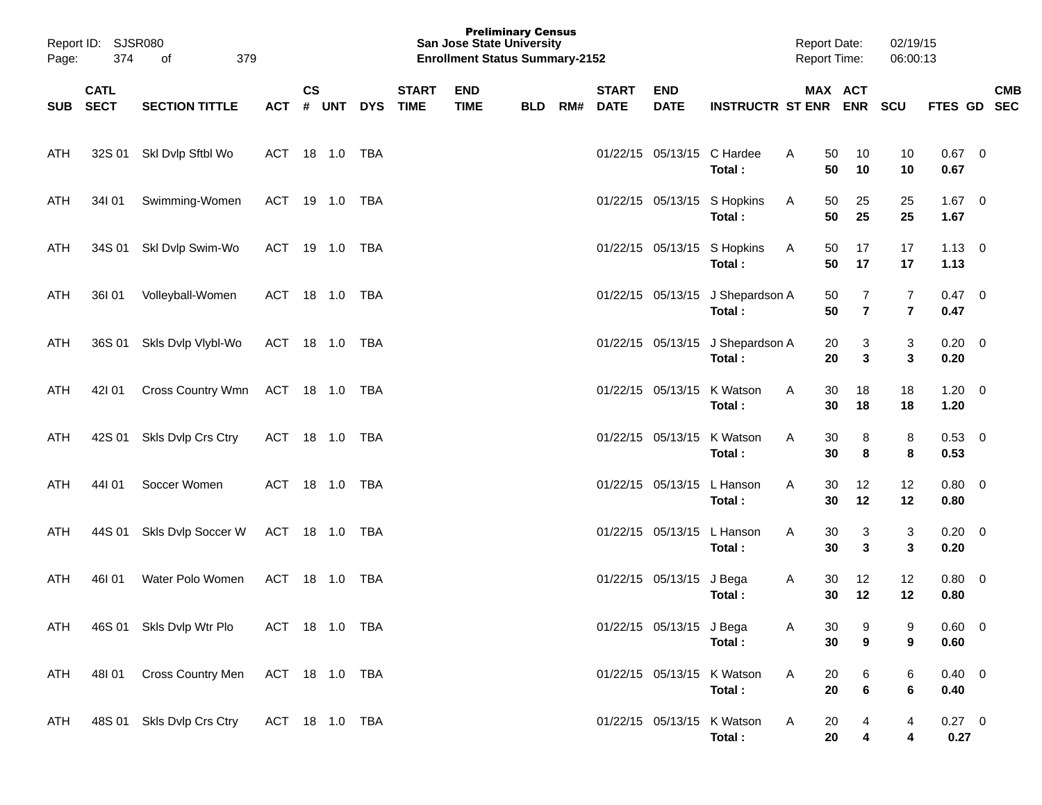| Page: | Report ID: SJSR080<br>374 | of<br>379                 |                |               |        |            |                             | <b>Preliminary Census</b><br><b>San Jose State University</b><br><b>Enrollment Status Summary-2152</b> |            |     |                             |                           |                                            |   | <b>Report Date:</b><br><b>Report Time:</b> |                                  | 02/19/15<br>06:00:13 |                        |            |
|-------|---------------------------|---------------------------|----------------|---------------|--------|------------|-----------------------------|--------------------------------------------------------------------------------------------------------|------------|-----|-----------------------------|---------------------------|--------------------------------------------|---|--------------------------------------------|----------------------------------|----------------------|------------------------|------------|
|       | <b>CATL</b><br>SUB SECT   | <b>SECTION TITTLE</b>     | ACT # UNT DYS  | $\mathsf{cs}$ |        |            | <b>START</b><br><b>TIME</b> | <b>END</b><br><b>TIME</b>                                                                              | <b>BLD</b> | RM# | <b>START</b><br><b>DATE</b> | <b>END</b><br><b>DATE</b> | <b>INSTRUCTR ST ENR ENR</b>                |   | MAX ACT                                    |                                  | <b>SCU</b>           | FTES GD SEC            | <b>CMB</b> |
| ATH   |                           | 32S 01 SkI Dvlp Sftbl Wo  | ACT 18 1.0 TBA |               |        |            |                             |                                                                                                        |            |     |                             |                           | 01/22/15 05/13/15 C Hardee<br>Total:       | A | 50<br>50                                   | 10<br>10                         | 10<br>10             | $0.67$ 0<br>0.67       |            |
| ATH   | 34l 01                    | Swimming-Women            | ACT 19 1.0 TBA |               |        |            |                             |                                                                                                        |            |     |                             |                           | 01/22/15 05/13/15 S Hopkins<br>Total:      | A | 50<br>50                                   | 25<br>25                         | 25<br>25             | $1.67 \t 0$<br>1.67    |            |
| ATH   |                           | 34S 01 Skl Dvlp Swim-Wo   | ACT 19 1.0 TBA |               |        |            |                             |                                                                                                        |            |     |                             |                           | 01/22/15 05/13/15 S Hopkins<br>Total:      | A | 50<br>50                                   | 17<br>17                         | 17<br>17             | $1.13 \ 0$<br>1.13     |            |
| ATH   | 36101                     | Volleyball-Women          | ACT 18 1.0 TBA |               |        |            |                             |                                                                                                        |            |     |                             |                           | 01/22/15 05/13/15 J Shepardson A<br>Total: |   | 50<br>50                                   | $\overline{7}$<br>$\overline{7}$ | 7<br>$\overline{7}$  | $0.47 \quad 0$<br>0.47 |            |
| ATH   |                           | 36S 01 Skls Dvlp Vlybl-Wo | ACT 18 1.0 TBA |               |        |            |                             |                                                                                                        |            |     |                             |                           | 01/22/15 05/13/15 J Shepardson A<br>Total: |   | 20<br>20                                   | 3<br>3                           | 3<br>3               | $0.20 \ 0$<br>0.20     |            |
| ATH   | 421 01                    | <b>Cross Country Wmn</b>  | ACT 18 1.0 TBA |               |        |            |                             |                                                                                                        |            |     |                             | 01/22/15 05/13/15         | K Watson<br>Total:                         | A | 30<br>30                                   | 18<br>18                         | 18<br>18             | $1.20 \t 0$<br>1.20    |            |
| ATH   |                           | 42S 01 Skls Dvlp Crs Ctry | ACT 18 1.0 TBA |               |        |            |                             |                                                                                                        |            |     |                             | 01/22/15 05/13/15         | K Watson<br>Total:                         | A | 30<br>30                                   | 8<br>8                           | 8<br>8               | $0.53 \ 0$<br>0.53     |            |
| ATH   | 44101                     | Soccer Women              | <b>ACT</b>     |               | 18 1.0 | TBA        |                             |                                                                                                        |            |     |                             |                           | 01/22/15 05/13/15 L Hanson<br>Total:       | A | 30<br>30                                   | 12<br>12                         | 12<br>12             | $0.80 \ 0$<br>0.80     |            |
| ATH   |                           | 44S 01 Skls Dvlp Soccer W | ACT 18 1.0 TBA |               |        |            |                             |                                                                                                        |            |     |                             |                           | 01/22/15 05/13/15 L Hanson<br>Total:       | A | 30<br>30                                   | 3<br>3                           | 3<br>3               | $0.20 \ 0$<br>0.20     |            |
| ATH   | 46I 01                    | Water Polo Women          | ACT            |               | 18 1.0 | <b>TBA</b> |                             |                                                                                                        |            |     |                             | 01/22/15 05/13/15 J Bega  | Total:                                     | A | 30<br>30                                   | 12<br>12                         | 12<br>12             | $0.80 \ 0$<br>0.80     |            |
| ATH   |                           | 46S 01 Skls Dvlp Wtr Plo  | ACT 18 1.0 TBA |               |        |            |                             |                                                                                                        |            |     |                             | 01/22/15 05/13/15 J Bega  | Total:                                     | Α | 30<br>30                                   | 9<br>9                           | 9<br>9               | 0.60 0<br>0.60         |            |
| ATH   | 48101                     | Cross Country Men         | ACT 18 1.0 TBA |               |        |            |                             |                                                                                                        |            |     |                             |                           | 01/22/15 05/13/15 K Watson<br>Total:       | A | 20<br>20                                   | 6<br>6                           | 6<br>6               | $0.40 \ 0$<br>0.40     |            |
| ATH   |                           | 48S 01 Skls Dvlp Crs Ctry | ACT 18 1.0 TBA |               |        |            |                             |                                                                                                        |            |     |                             |                           | 01/22/15 05/13/15 K Watson<br>Total:       | Α | 20<br>20                                   | 4<br>4                           | 4<br>4               | $0.27 \t 0$<br>0.27    |            |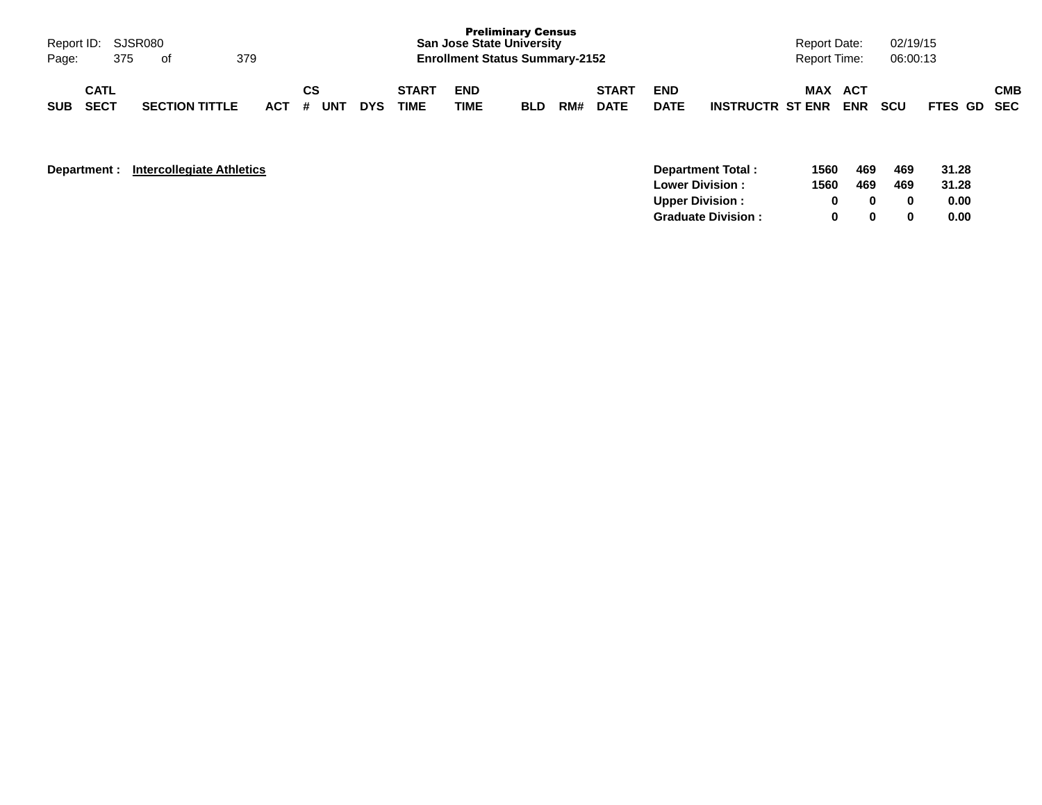| Page:      | Report ID: SJSR080<br>375  | of                    | 379 |         |           |            |                             |                    | <b>Preliminary Census</b><br><b>San Jose State University</b><br><b>Enrollment Status Summary-2152</b> |     |                             |                           |                         | <b>Report Date:</b><br>Report Time: |                   | 02/19/15<br>06:00:13 |             |            |
|------------|----------------------------|-----------------------|-----|---------|-----------|------------|-----------------------------|--------------------|--------------------------------------------------------------------------------------------------------|-----|-----------------------------|---------------------------|-------------------------|-------------------------------------|-------------------|----------------------|-------------|------------|
| <b>SUB</b> | <b>CATL</b><br><b>SECT</b> | <b>SECTION TITTLE</b> |     | $ACT$ # | CS<br>UNT | <b>DYS</b> | <b>START</b><br><b>TIME</b> | <b>END</b><br>TIME | <b>BLD</b>                                                                                             | RM# | <b>START</b><br><b>DATE</b> | <b>END</b><br><b>DATE</b> | <b>INSTRUCTR ST ENR</b> | MAX                                 | ACT<br><b>ENR</b> | <b>SCU</b>           | FTES GD SEC | <b>CMB</b> |

| Department : | <b>Intercollegiate Athletics</b> |  |
|--------------|----------------------------------|--|
|--------------|----------------------------------|--|

| <b>Department:</b> | <b>Intercollegiate Athletics</b> | Department Total:          | 1560 | 469 | 469 | 31.28 |
|--------------------|----------------------------------|----------------------------|------|-----|-----|-------|
|                    |                                  | <b>Lower Division:</b>     | 1560 | 469 | 469 | 31.28 |
|                    |                                  | Upper Division:            |      |     |     | 0.00  |
|                    |                                  | <b>Graduate Division :</b> |      |     |     | 0.00  |
|                    |                                  |                            |      |     |     |       |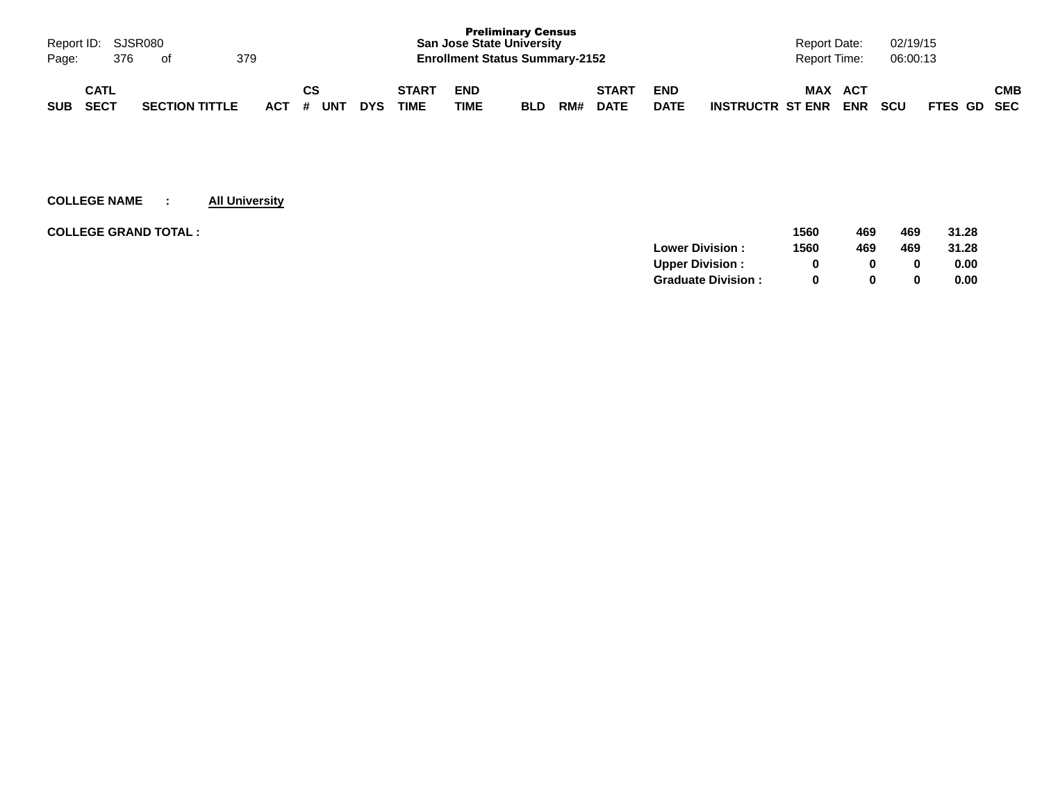| Page:      | Report ID: SJSR080<br>376  | of |                       | 379     |    |     |            |                             | <b>San Jose State University</b><br><b>Enrollment Status Summary-2152</b> | <b>Preliminary Census</b> |     |                             |                           |                         | Report Date:<br><b>Report Time:</b> |                          | 02/19/15<br>06:00:13 |             |     |
|------------|----------------------------|----|-----------------------|---------|----|-----|------------|-----------------------------|---------------------------------------------------------------------------|---------------------------|-----|-----------------------------|---------------------------|-------------------------|-------------------------------------|--------------------------|----------------------|-------------|-----|
| <b>SUB</b> | <b>CATL</b><br><b>SECT</b> |    | <b>SECTION TITTLE</b> | $ACT$ # | СS | UNT | <b>DYS</b> | <b>START</b><br><b>TIME</b> | <b>END</b><br>TIME                                                        | <b>BLD</b>                | RM# | <b>START</b><br><b>DATE</b> | <b>END</b><br><b>DATE</b> | <b>INSTRUCTR ST ENR</b> | <b>MAX</b>                          | <b>ACT</b><br><b>ENR</b> | <b>SCU</b>           | FTES GD SEC | СМВ |

| <b>COLLEGE GRAND TOTAL :</b> |                           | 1560 | 469          | 469 | 31.28 |
|------------------------------|---------------------------|------|--------------|-----|-------|
|                              | <b>Lower Division:</b>    | 1560 | 469          | 469 | 31.28 |
|                              | <b>Upper Division:</b>    |      | 0            |     | 0.00  |
|                              | <b>Graduate Division:</b> | 0    | <sup>0</sup> |     | 0.00  |
|                              |                           |      |              |     |       |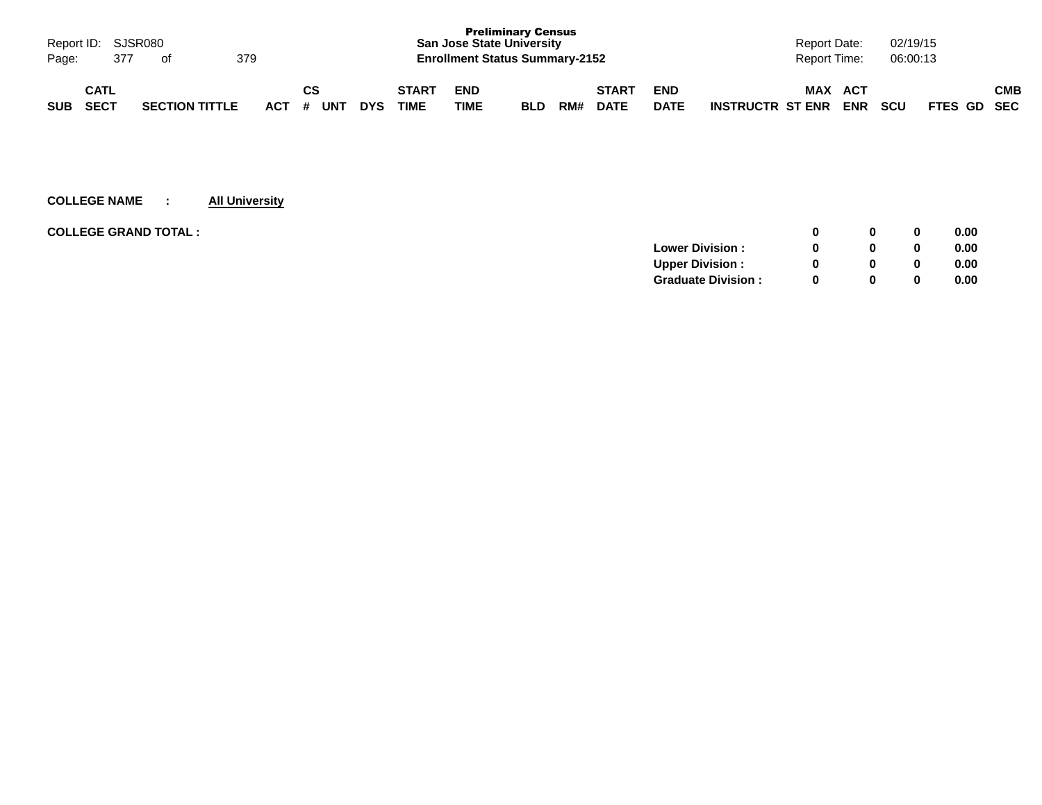| Report ID: SJSR080<br>Page:              | 377 | of                    | 379 |                 |            |                             | <b>San Jose State University</b><br><b>Enrollment Status Summary-2152</b> | <b>Preliminary Census</b> |     |                             |                           | Report Date:<br>Report Time:          |                   | 02/19/15<br>06:00:13 |             |            |
|------------------------------------------|-----|-----------------------|-----|-----------------|------------|-----------------------------|---------------------------------------------------------------------------|---------------------------|-----|-----------------------------|---------------------------|---------------------------------------|-------------------|----------------------|-------------|------------|
| <b>CATL</b><br><b>SECT</b><br><b>SUB</b> |     | <b>SECTION TITTLE</b> |     | CS<br>ACT # UNT | <b>DYS</b> | <b>START</b><br><b>TIME</b> | <b>END</b><br>TIME                                                        | <b>BLD</b>                | RM# | <b>START</b><br><b>DATE</b> | <b>END</b><br><b>DATE</b> | <b>MAX</b><br><b>INSTRUCTR ST ENR</b> | ACT<br><b>ENR</b> | <b>SCU</b>           | FTES GD SEC | <b>CMB</b> |

| <b>COLLEGE GRAND TOTAL :</b> |                           |   | 0 | 0.00 |
|------------------------------|---------------------------|---|---|------|
|                              | <b>Lower Division:</b>    |   | 0 | 0.00 |
|                              | <b>Upper Division:</b>    |   | 0 | 0.00 |
|                              | <b>Graduate Division:</b> | n | 0 | 0.00 |
|                              |                           |   |   |      |